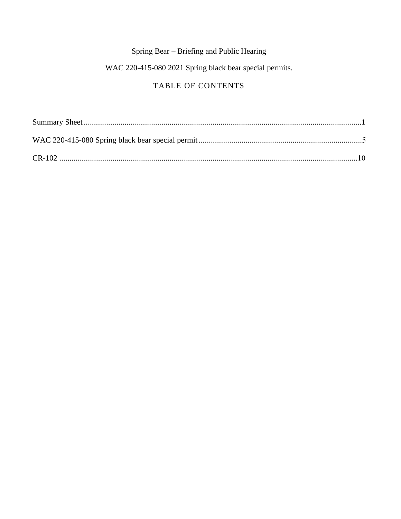# Spring Bear - Briefing and Public Hearing

# WAC 220-415-080 2021 Spring black bear special permits.

# TABLE OF CONTENTS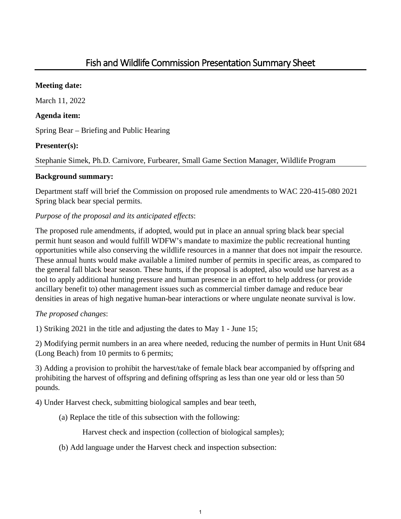# **Meeting date:**

March 11, 2022

# **Agenda item:**

Spring Bear – Briefing and Public Hearing

# **Presenter(s):**

Stephanie Simek, Ph.D. Carnivore, Furbearer, Small Game Section Manager, Wildlife Program

# **Background summary:**

Department staff will brief the Commission on proposed rule amendments to WAC 220-415-080 2021 Spring black bear special permits.

# *Purpose of the proposal and its anticipated effects*:

The proposed rule amendments, if adopted, would put in place an annual spring black bear special permit hunt season and would fulfill WDFW's mandate to maximize the public recreational hunting opportunities while also conserving the wildlife resources in a manner that does not impair the resource. These annual hunts would make available a limited number of permits in specific areas, as compared to the general fall black bear season. These hunts, if the proposal is adopted, also would use harvest as a tool to apply additional hunting pressure and human presence in an effort to help address (or provide ancillary benefit to) other management issues such as commercial timber damage and reduce bear densities in areas of high negative human-bear interactions or where ungulate neonate survival is low.

# *The proposed changes*:

1) Striking 2021 in the title and adjusting the dates to May 1 - June 15;

2) Modifying permit numbers in an area where needed, reducing the number of permits in Hunt Unit 684 (Long Beach) from 10 permits to 6 permits;

3) Adding a provision to prohibit the harvest/take of female black bear accompanied by offspring and prohibiting the harvest of offspring and defining offspring as less than one year old or less than 50 pounds.

4) Under Harvest check, submitting biological samples and bear teeth,

(a) Replace the title of this subsection with the following:

Harvest check and inspection (collection of biological samples);

(b) Add language under the Harvest check and inspection subsection: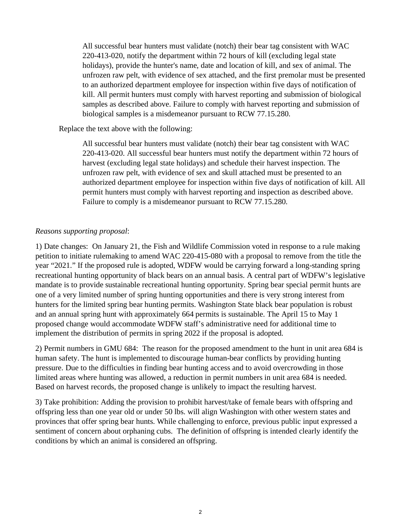All successful bear hunters must validate (notch) their bear tag consistent with WAC 220-413-020, notify the department within 72 hours of kill (excluding legal state holidays), provide the hunter's name, date and location of kill, and sex of animal. The unfrozen raw pelt, with evidence of sex attached, and the first premolar must be presented to an authorized department employee for inspection within five days of notification of kill. All permit hunters must comply with harvest reporting and submission of biological samples as described above. Failure to comply with harvest reporting and submission of biological samples is a misdemeanor pursuant to RCW 77.15.280.

#### Replace the text above with the following:

All successful bear hunters must validate (notch) their bear tag consistent with WAC 220-413-020. All successful bear hunters must notify the department within 72 hours of harvest (excluding legal state holidays) and schedule their harvest inspection. The unfrozen raw pelt, with evidence of sex and skull attached must be presented to an authorized department employee for inspection within five days of notification of kill. All permit hunters must comply with harvest reporting and inspection as described above. Failure to comply is a misdemeanor pursuant to RCW 77.15.280.

#### *Reasons supporting proposal*:

1) Date changes: On January 21, the Fish and Wildlife Commission voted in response to a rule making petition to initiate rulemaking to amend WAC 220-415-080 with a proposal to remove from the title the year "2021." If the proposed rule is adopted, WDFW would be carrying forward a long-standing spring recreational hunting opportunity of black bears on an annual basis. A central part of WDFW's legislative mandate is to provide sustainable recreational hunting opportunity. Spring bear special permit hunts are one of a very limited number of spring hunting opportunities and there is very strong interest from hunters for the limited spring bear hunting permits. Washington State black bear population is robust and an annual spring hunt with approximately 664 permits is sustainable. The April 15 to May 1 proposed change would accommodate WDFW staff's administrative need for additional time to implement the distribution of permits in spring 2022 if the proposal is adopted.

2) Permit numbers in GMU 684: The reason for the proposed amendment to the hunt in unit area 684 is human safety. The hunt is implemented to discourage human-bear conflicts by providing hunting pressure. Due to the difficulties in finding bear hunting access and to avoid overcrowding in those limited areas where hunting was allowed, a reduction in permit numbers in unit area 684 is needed. Based on harvest records, the proposed change is unlikely to impact the resulting harvest.

3) Take prohibition: Adding the provision to prohibit harvest/take of female bears with offspring and offspring less than one year old or under 50 lbs. will align Washington with other western states and provinces that offer spring bear hunts. While challenging to enforce, previous public input expressed a sentiment of concern about orphaning cubs. The definition of offspring is intended clearly identify the conditions by which an animal is considered an offspring.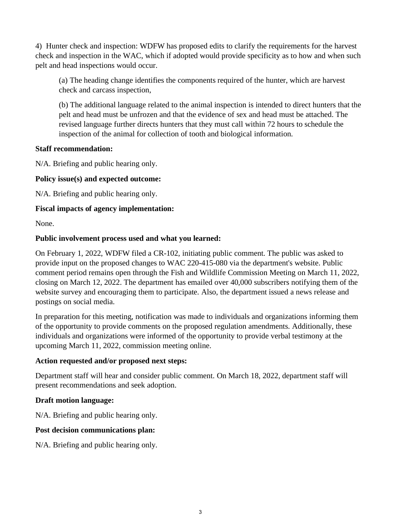4) Hunter check and inspection: WDFW has proposed edits to clarify the requirements for the harvest check and inspection in the WAC, which if adopted would provide specificity as to how and when such pelt and head inspections would occur.

(a) The heading change identifies the components required of the hunter, which are harvest check and carcass inspection,

(b) The additional language related to the animal inspection is intended to direct hunters that the pelt and head must be unfrozen and that the evidence of sex and head must be attached. The revised language further directs hunters that they must call within 72 hours to schedule the inspection of the animal for collection of tooth and biological information.

#### **Staff recommendation:**

N/A. Briefing and public hearing only.

## **Policy issue(s) and expected outcome:**

N/A. Briefing and public hearing only.

## **Fiscal impacts of agency implementation:**

None.

#### **Public involvement process used and what you learned:**

On February 1, 2022, WDFW filed a CR-102, initiating public comment. The public was asked to provide input on the proposed changes to WAC 220-415-080 via the department's website. Public comment period remains open through the Fish and Wildlife Commission Meeting on March 11, 2022, closing on March 12, 2022. The department has emailed over 40,000 subscribers notifying them of the website survey and encouraging them to participate. Also, the department issued a news release and postings on social media.

In preparation for this meeting, notification was made to individuals and organizations informing them of the opportunity to provide comments on the proposed regulation amendments. Additionally, these individuals and organizations were informed of the opportunity to provide verbal testimony at the upcoming March 11, 2022, commission meeting online.

#### **Action requested and/or proposed next steps:**

Department staff will hear and consider public comment. On March 18, 2022, department staff will present recommendations and seek adoption.

## **Draft motion language:**

N/A. Briefing and public hearing only.

## **Post decision communications plan:**

N/A. Briefing and public hearing only.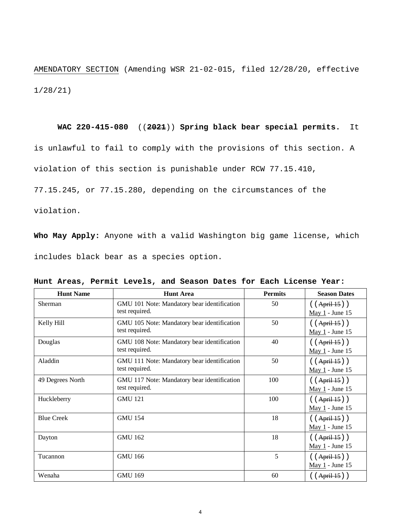AMENDATORY SECTION (Amending WSR 21-02-015, filed 12/28/20, effective 1/28/21)

#### **WAC 220-415-080** ((**2021**)) **Spring black bear special permits.** It

is unlawful to fail to comply with the provisions of this section. A

violation of this section is punishable under RCW 77.15.410,

77.15.245, or 77.15.280, depending on the circumstances of the

violation.

**Who May Apply:** Anyone with a valid Washington big game license, which includes black bear as a species option.

| <b>Hunt Name</b>  | <b>Hunt Area</b>                                              | <b>Permits</b> | <b>Season Dates</b>                     |
|-------------------|---------------------------------------------------------------|----------------|-----------------------------------------|
| Sherman           | GMU 101 Note: Mandatory bear identification<br>test required. | 50             | $( (Apri+15) )$<br>May 1 - June 15      |
| Kelly Hill        | GMU 105 Note: Mandatory bear identification<br>test required. | 50             | $( (Apri1-15) )$<br>May 1 - June 15     |
| Douglas           | GMU 108 Note: Mandatory bear identification<br>test required. | 40             | $( (Apri1-15) )$<br>May 1 - June 15     |
| Aladdin           | GMU 111 Note: Mandatory bear identification<br>test required. | 50             | $( (Apri1-15) )$<br>May 1 - June 15     |
| 49 Degrees North  | GMU 117 Note: Mandatory bear identification<br>test required. | 100            | $( (Apri1-15) )$<br>May 1 - June 15     |
| Huckleberry       | <b>GMU 121</b>                                                | 100            | $( (Apri1-15) )$<br>May 1 - June 15     |
| <b>Blue Creek</b> | <b>GMU 154</b>                                                | 18             | $( (Apri1-15) )$<br>May $1$ - June $15$ |
| Dayton            | <b>GMU 162</b>                                                | 18             | ( (April 15) )<br>May 1 - June 15       |
| Tucannon          | <b>GMU 166</b>                                                | 5              | $( (Apri1-15) )$<br>$May 1 - June 15$   |
| Wenaha            | <b>GMU 169</b>                                                | 60             | ( (April 15) )                          |

**Hunt Areas, Permit Levels, and Season Dates for Each License Year:**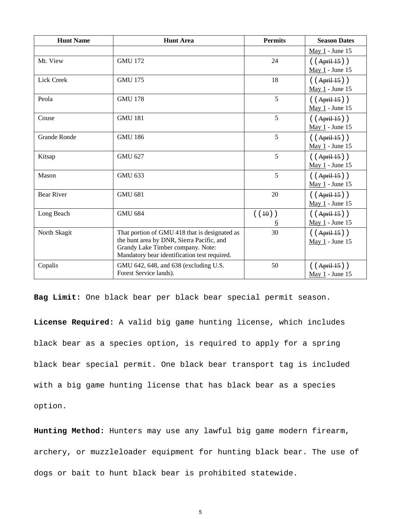| <b>Hunt Name</b>    | <b>Hunt Area</b>                                                                                                                                                                | <b>Permits</b>                  | <b>Season Dates</b>                             |
|---------------------|---------------------------------------------------------------------------------------------------------------------------------------------------------------------------------|---------------------------------|-------------------------------------------------|
|                     |                                                                                                                                                                                 |                                 | May 1 - June 15                                 |
| Mt. View            | <b>GMU 172</b>                                                                                                                                                                  | 24                              | ( (April 15) )                                  |
|                     |                                                                                                                                                                                 |                                 | May 1 - June 15                                 |
| Lick Creek          | <b>GMU 175</b>                                                                                                                                                                  | 18                              | ( (April 15) )<br>May 1 - June 15               |
| Peola               | <b>GMU 178</b>                                                                                                                                                                  | 5                               | ( (April 15) )<br>May 1 - June 15               |
| Couse               | <b>GMU 181</b>                                                                                                                                                                  | 5                               | $( (Apri+15) )$<br>May 1 - June 15              |
| <b>Grande Ronde</b> | <b>GMU 186</b>                                                                                                                                                                  | 5                               | ( (April 15) )<br>$\underline{May 1}$ - June 15 |
| Kitsap              | <b>GMU 627</b>                                                                                                                                                                  | 5                               | ( (April 15) )<br>May 1 - June 15               |
| Mason               | <b>GMU 633</b>                                                                                                                                                                  | 5                               | $( (Apri1-15) )$<br>May 1 - June 15             |
| <b>Bear River</b>   | <b>GMU 681</b>                                                                                                                                                                  | 20                              | ( (April 15) )<br>May 1 - June 15               |
| Long Beach          | <b>GMU 684</b>                                                                                                                                                                  | ( (10) )<br><u><sub>6</sub></u> | ( (April 15) )<br>May 1 - June 15               |
| North Skagit        | That portion of GMU 418 that is designated as<br>the hunt area by DNR, Sierra Pacific, and<br>Grandy Lake Timber company. Note:<br>Mandatory bear identification test required. | 30                              | $( (Apri+15) )$<br>May 1 - June 15              |
| Copalis             | GMU 642, 648, and 638 (excluding U.S.<br>Forest Service lands).                                                                                                                 | 50                              | ( (April 15) )<br>May 1 - June 15               |

**Bag Limit:** One black bear per black bear special permit season.

**License Required:** A valid big game hunting license, which includes black bear as a species option, is required to apply for a spring black bear special permit. One black bear transport tag is included with a big game hunting license that has black bear as a species option.

**Hunting Method:** Hunters may use any lawful big game modern firearm, archery, or muzzleloader equipment for hunting black bear. The use of dogs or bait to hunt black bear is prohibited statewide.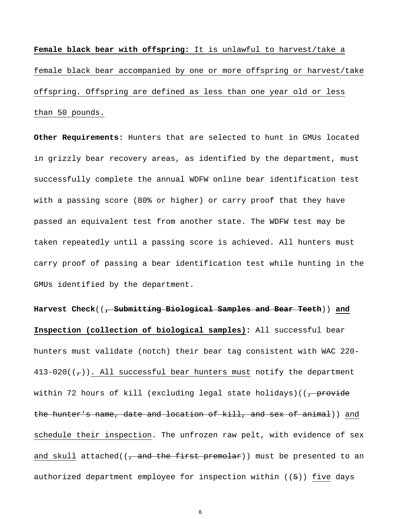**Female black bear with offspring:** It is unlawful to harvest/take a female black bear accompanied by one or more offspring or harvest/take offspring. Offspring are defined as less than one year old or less than 50 pounds.

**Other Requirements:** Hunters that are selected to hunt in GMUs located in grizzly bear recovery areas, as identified by the department, must successfully complete the annual WDFW online bear identification test with a passing score (80% or higher) or carry proof that they have passed an equivalent test from another state. The WDFW test may be taken repeatedly until a passing score is achieved. All hunters must carry proof of passing a bear identification test while hunting in the GMUs identified by the department.

**Harvest Check**((**, Submitting Biological Samples and Bear Teeth**)) **and Inspection (collection of biological samples):** All successful bear hunters must validate (notch) their bear tag consistent with WAC 220- 413-020( $(\tau)$ ). All successful bear hunters must notify the department within 72 hours of kill (excluding legal state holidays)( $\frac{1}{2}$  provide the hunter's name, date and location of kill, and sex of animal)) and schedule their inspection. The unfrozen raw pelt, with evidence of sex and skull attached(( $\frac{1}{7}$  and the first premolar)) must be presented to an authorized department employee for inspection within ((5)) five days

6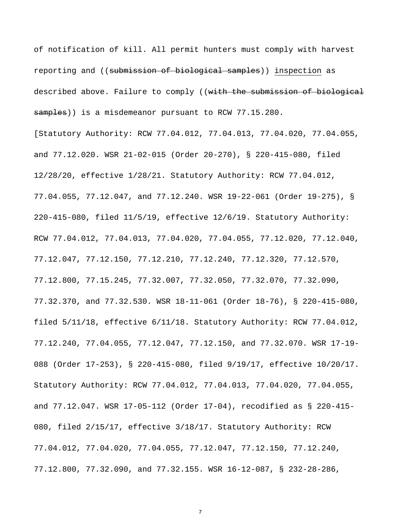of notification of kill. All permit hunters must comply with harvest reporting and ((submission of biological samples)) inspection as described above. Failure to comply ((with the submission of biological samples)) is a misdemeanor pursuant to RCW 77.15.280.

[Statutory Authority: RCW 77.04.012, 77.04.013, 77.04.020, 77.04.055, and 77.12.020. WSR 21-02-015 (Order 20-270), § 220-415-080, filed 12/28/20, effective 1/28/21. Statutory Authority: RCW 77.04.012, 77.04.055, 77.12.047, and 77.12.240. WSR 19-22-061 (Order 19-275), § 220-415-080, filed 11/5/19, effective 12/6/19. Statutory Authority: RCW 77.04.012, 77.04.013, 77.04.020, 77.04.055, 77.12.020, 77.12.040, 77.12.047, 77.12.150, 77.12.210, 77.12.240, 77.12.320, 77.12.570, 77.12.800, 77.15.245, 77.32.007, 77.32.050, 77.32.070, 77.32.090, 77.32.370, and 77.32.530. WSR 18-11-061 (Order 18-76), § 220-415-080, filed 5/11/18, effective 6/11/18. Statutory Authority: RCW 77.04.012, 77.12.240, 77.04.055, 77.12.047, 77.12.150, and 77.32.070. WSR 17-19- 088 (Order 17-253), § 220-415-080, filed 9/19/17, effective 10/20/17. Statutory Authority: RCW 77.04.012, 77.04.013, 77.04.020, 77.04.055, and 77.12.047. WSR 17-05-112 (Order 17-04), recodified as § 220-415- 080, filed 2/15/17, effective 3/18/17. Statutory Authority: RCW 77.04.012, 77.04.020, 77.04.055, 77.12.047, 77.12.150, 77.12.240, 77.12.800, 77.32.090, and 77.32.155. WSR 16-12-087, § 232-28-286,

7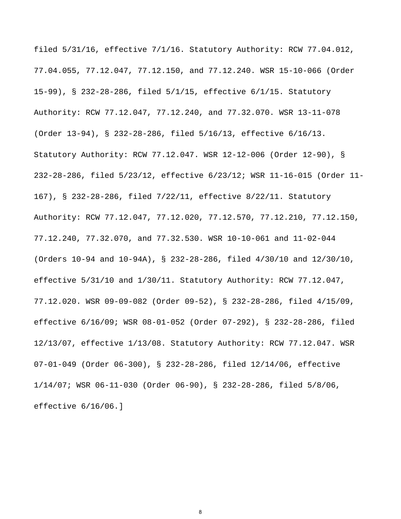filed 5/31/16, effective 7/1/16. Statutory Authority: RCW 77.04.012, 77.04.055, 77.12.047, 77.12.150, and 77.12.240. WSR 15-10-066 (Order 15-99), § 232-28-286, filed 5/1/15, effective 6/1/15. Statutory Authority: RCW 77.12.047, 77.12.240, and 77.32.070. WSR 13-11-078 (Order 13-94), § 232-28-286, filed 5/16/13, effective 6/16/13. Statutory Authority: RCW 77.12.047. WSR 12-12-006 (Order 12-90), § 232-28-286, filed 5/23/12, effective 6/23/12; WSR 11-16-015 (Order 11- 167), § 232-28-286, filed 7/22/11, effective 8/22/11. Statutory Authority: RCW 77.12.047, 77.12.020, 77.12.570, 77.12.210, 77.12.150, 77.12.240, 77.32.070, and 77.32.530. WSR 10-10-061 and 11-02-044 (Orders 10-94 and 10-94A), § 232-28-286, filed 4/30/10 and 12/30/10, effective 5/31/10 and 1/30/11. Statutory Authority: RCW 77.12.047, 77.12.020. WSR 09-09-082 (Order 09-52), § 232-28-286, filed 4/15/09, effective 6/16/09; WSR 08-01-052 (Order 07-292), § 232-28-286, filed 12/13/07, effective 1/13/08. Statutory Authority: RCW 77.12.047. WSR 07-01-049 (Order 06-300), § 232-28-286, filed 12/14/06, effective 1/14/07; WSR 06-11-030 (Order 06-90), § 232-28-286, filed 5/8/06, effective 6/16/06.]

8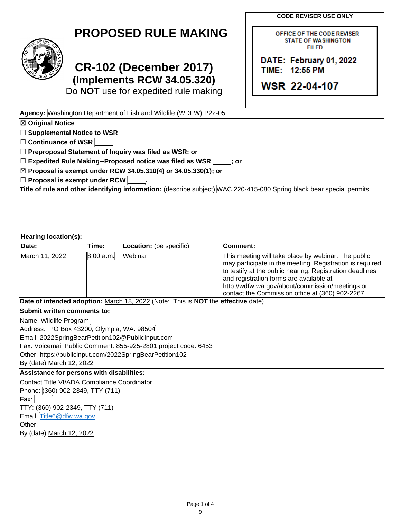**CODE REVISER USE ONLY**

OFFICE OF THE CODE REVISER **STATE OF WASHINGTON FILED** 

DATE: February 01, 2022

TIME: 12:55 PM

**WSR 22-04-107** 

| <b>PROPOSED RULE MAKING</b> |  |  |  |  |  |  |  |  |  |
|-----------------------------|--|--|--|--|--|--|--|--|--|
|-----------------------------|--|--|--|--|--|--|--|--|--|



# **CR-102 (December 2017) (Implements RCW 34.05.320)**

Do **NOT** use for expedited rule making

|                                                                                                                        |           | Agency: Washington Department of Fish and Wildlife (WDFW) P22-05                 |                                                                                                                                                                                                                                                                                                                               |  |
|------------------------------------------------------------------------------------------------------------------------|-----------|----------------------------------------------------------------------------------|-------------------------------------------------------------------------------------------------------------------------------------------------------------------------------------------------------------------------------------------------------------------------------------------------------------------------------|--|
| <b>⊠</b> Original Notice                                                                                               |           |                                                                                  |                                                                                                                                                                                                                                                                                                                               |  |
| □ Supplemental Notice to WSR                                                                                           |           |                                                                                  |                                                                                                                                                                                                                                                                                                                               |  |
| $\Box$ Continuance of WSR                                                                                              |           |                                                                                  |                                                                                                                                                                                                                                                                                                                               |  |
| $\Box$ Preproposal Statement of Inquiry was filed as WSR; or                                                           |           |                                                                                  |                                                                                                                                                                                                                                                                                                                               |  |
| $\Box$ Expedited Rule Making--Proposed notice was filed as WSR<br>$:$ or                                               |           |                                                                                  |                                                                                                                                                                                                                                                                                                                               |  |
| $\boxtimes$ Proposal is exempt under RCW 34.05.310(4) or 34.05.330(1); or                                              |           |                                                                                  |                                                                                                                                                                                                                                                                                                                               |  |
| $\Box$ Proposal is exempt under RCW                                                                                    |           |                                                                                  |                                                                                                                                                                                                                                                                                                                               |  |
| Title of rule and other identifying information: (describe subject) WAC 220-415-080 Spring black bear special permits. |           |                                                                                  |                                                                                                                                                                                                                                                                                                                               |  |
| Hearing location(s):                                                                                                   |           |                                                                                  |                                                                                                                                                                                                                                                                                                                               |  |
| Date:                                                                                                                  | Time:     | Location: (be specific)                                                          | Comment:                                                                                                                                                                                                                                                                                                                      |  |
| March 11, 2022                                                                                                         | 8:00 a.m. | Webinar                                                                          | This meeting will take place by webinar. The public<br>may participate in the meeting. Registration is required<br>to testify at the public hearing. Registration deadlines<br>and registration forms are available at<br>http://wdfw.wa.gov/about/commission/meetings or<br>contact the Commission office at (360) 902-2267. |  |
|                                                                                                                        |           | Date of intended adoption: March 18, 2022 (Note: This is NOT the effective date) |                                                                                                                                                                                                                                                                                                                               |  |
| Submit written comments to:                                                                                            |           |                                                                                  |                                                                                                                                                                                                                                                                                                                               |  |
| Name: Wildlife Program                                                                                                 |           |                                                                                  |                                                                                                                                                                                                                                                                                                                               |  |
| Address: PO Box 43200, Olympia, WA. 98504                                                                              |           |                                                                                  |                                                                                                                                                                                                                                                                                                                               |  |
| Email: 2022SpringBearPetition102@PublicInput.com                                                                       |           |                                                                                  |                                                                                                                                                                                                                                                                                                                               |  |
| Fax: Voicemail Public Comment: 855-925-2801 project code: 6453                                                         |           |                                                                                  |                                                                                                                                                                                                                                                                                                                               |  |
| Other: https://publicinput.com/2022SpringBearPetition102<br>By (date) March 12, 2022                                   |           |                                                                                  |                                                                                                                                                                                                                                                                                                                               |  |
| Assistance for persons with disabilities:                                                                              |           |                                                                                  |                                                                                                                                                                                                                                                                                                                               |  |
| Contact Title VI/ADA Compliance Coordinator                                                                            |           |                                                                                  |                                                                                                                                                                                                                                                                                                                               |  |
| Phone: (360) 902-2349, TTY (711)                                                                                       |           |                                                                                  |                                                                                                                                                                                                                                                                                                                               |  |
| Fax:                                                                                                                   |           |                                                                                  |                                                                                                                                                                                                                                                                                                                               |  |
| TTY: (360) 902-2349, TTY (711)                                                                                         |           |                                                                                  |                                                                                                                                                                                                                                                                                                                               |  |
| Email: Title6@dfw.wa.gov                                                                                               |           |                                                                                  |                                                                                                                                                                                                                                                                                                                               |  |
| Other:                                                                                                                 |           |                                                                                  |                                                                                                                                                                                                                                                                                                                               |  |
| By (date) March 12, 2022                                                                                               |           |                                                                                  |                                                                                                                                                                                                                                                                                                                               |  |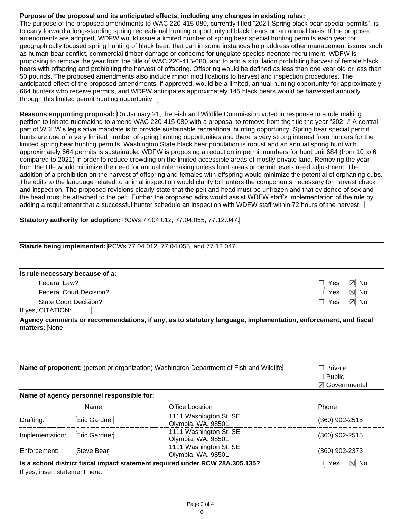**Purpose of the proposal and its anticipated effects, including any changes in existing rules:**  The purpose of the proposed amendments to WAC 220-415-080, currently titled "2021 Spring black bear special permits", is to carry forward a long-standing spring recreational hunting opportunity of black bears on an annual basis. If the proposed amendments are adopted, WDFW would issue a limited number of spring bear special hunting permits each year for geographically focused spring hunting of black bear, that can in some instances help address other management issues such as human-bear conflict, commercial timber damage or concerns for ungulate species neonate recruitment. WDFW is proposing to remove the year from the title of WAC 220-415-080, and to add a stipulation prohibiting harvest of female black bears with offspring and prohibiting the harvest of offspring. Offspring would be defined as less than one year old or less than 50 pounds. The proposed amendments also include minor modifications to harvest and inspection procedures. The anticipated effect of the proposed amendments, if approved, would be a limited, annual hunting opportunity for approximately 664 hunters who receive permits, and WDFW anticipates approximately 145 black bears would be harvested annually through this limited permit hunting opportunity.  $\mid$ 

**Reasons supporting proposal:** On January 21, the Fish and Wildlife Commission voted in response to a rule making petition to initiate rulemaking to amend WAC 220-415-080 with a proposal to remove from the title the year "2021." A central part of WDFW's legislative mandate is to provide sustainable recreational hunting opportunity. Spring bear special permit hunts are one of a very limited number of spring hunting opportunities and there is very strong interest from hunters for the limited spring bear hunting permits. Washington State black bear population is robust and an annual spring hunt with approximately 664 permits is sustainable. WDFW is proposing a reduction in permit numbers for hunt unit 684 (from 10 to 6 compared to 2021) in order to reduce crowding on the limited accessible areas of mostly private land. Removing the year from the title would minimize the need for annual rulemaking unless hunt areas or permit levels need adjustment. The addition of a prohibition on the harvest of offspring and females with offspring would minimize the potential of orphaning cubs. The edits to the language related to animal inspection would clarify to hunters the components necessary for harvest check and inspection. The proposed revisions clearly state that the pelt and head must be unfrozen and that evidence of sex and the head must be attached to the pelt. Further the proposed edits would assist WDFW staff's implementation of the rule by adding a requirement that a successful hunter schedule an inspection with WDFW staff within 72 hours of the harvest.

|                                                   |                                           | Statutory authority for adoption: RCWs 77.04.012, 77.04.055, 77.12.047.                |                                                       |
|---------------------------------------------------|-------------------------------------------|----------------------------------------------------------------------------------------|-------------------------------------------------------|
|                                                   |                                           | Statute being implemented: RCWs 77.04.012, 77.04.055, and 77.12.047.                   |                                                       |
| Is rule necessary because of a:                   |                                           |                                                                                        |                                                       |
| Federal Law?                                      |                                           |                                                                                        | $\boxtimes$<br>Yes<br><b>No</b>                       |
|                                                   | <b>Federal Court Decision?</b>            |                                                                                        | $\boxtimes$<br>Yes<br><b>No</b>                       |
| <b>State Court Decision?</b><br>If yes, CITATION: |                                           |                                                                                        | $\boxtimes$<br>No<br>Yes                              |
|                                                   |                                           |                                                                                        |                                                       |
|                                                   |                                           | Name of proponent: (person or organization) Washington Department of Fish and Wildlife | Private<br>$\blacksquare$<br>Public<br>⊠ Governmental |
|                                                   | Name of agency personnel responsible for: |                                                                                        |                                                       |
|                                                   | Name                                      | <b>Office Location</b>                                                                 | Phone                                                 |
|                                                   | Eric Gardner                              | 1111 Washington St. SE<br>Olympia, WA. 98501                                           | $(360)$ 902-2515                                      |
|                                                   | Eric Gardner                              | 1111 Washington St. SE<br>Olympia, WA. 98501                                           | (360) 902-2515                                        |
| Drafting:<br>Implementation:<br>Enforcement:      | <b>Steve Bear</b>                         | 1111 Washington St. SE<br>Olympia, WA. 98501                                           | (360) 902-2373                                        |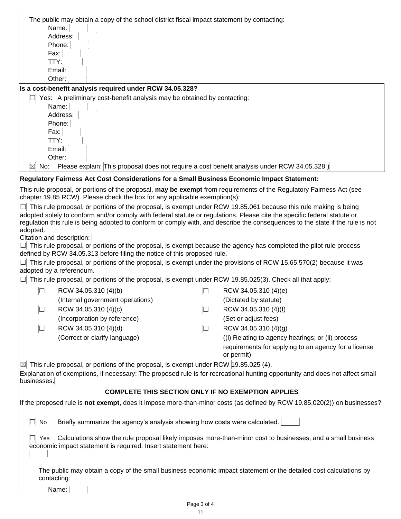| The public may obtain a copy of the school district fiscal impact statement by contacting:                                                                                                                                                   |        |                                                                                                                   |
|----------------------------------------------------------------------------------------------------------------------------------------------------------------------------------------------------------------------------------------------|--------|-------------------------------------------------------------------------------------------------------------------|
| Name:                                                                                                                                                                                                                                        |        |                                                                                                                   |
| Address:                                                                                                                                                                                                                                     |        |                                                                                                                   |
| Phone:                                                                                                                                                                                                                                       |        |                                                                                                                   |
| Fax:                                                                                                                                                                                                                                         |        |                                                                                                                   |
| TTY:                                                                                                                                                                                                                                         |        |                                                                                                                   |
| Email:                                                                                                                                                                                                                                       |        |                                                                                                                   |
| Other:                                                                                                                                                                                                                                       |        |                                                                                                                   |
| Is a cost-benefit analysis required under RCW 34.05.328?                                                                                                                                                                                     |        |                                                                                                                   |
| Yes: A preliminary cost-benefit analysis may be obtained by contacting:                                                                                                                                                                      |        |                                                                                                                   |
| Name:                                                                                                                                                                                                                                        |        |                                                                                                                   |
| Address:                                                                                                                                                                                                                                     |        |                                                                                                                   |
| Phone:<br>Fax:                                                                                                                                                                                                                               |        |                                                                                                                   |
| TTY:                                                                                                                                                                                                                                         |        |                                                                                                                   |
| Email:                                                                                                                                                                                                                                       |        |                                                                                                                   |
| Other:                                                                                                                                                                                                                                       |        |                                                                                                                   |
| Please explain: This proposal does not require a cost benefit analysis under RCW 34.05.328.)<br>$ \boxtimes $<br>No:                                                                                                                         |        |                                                                                                                   |
| Regulatory Fairness Act Cost Considerations for a Small Business Economic Impact Statement:                                                                                                                                                  |        |                                                                                                                   |
| This rule proposal, or portions of the proposal, may be exempt from requirements of the Regulatory Fairness Act (see                                                                                                                         |        |                                                                                                                   |
| chapter 19.85 RCW). Please check the box for any applicable exemption(s):                                                                                                                                                                    |        |                                                                                                                   |
| This rule proposal, or portions of the proposal, is exempt under RCW 19.85.061 because this rule making is being<br>adopted solely to conform and/or comply with federal statute or regulations. Please cite the specific federal statute or |        |                                                                                                                   |
| regulation this rule is being adopted to conform or comply with, and describe the consequences to the state if the rule is not                                                                                                               |        |                                                                                                                   |
| adopted.                                                                                                                                                                                                                                     |        |                                                                                                                   |
| Citation and description:                                                                                                                                                                                                                    |        |                                                                                                                   |
| This rule proposal, or portions of the proposal, is exempt because the agency has completed the pilot rule process                                                                                                                           |        |                                                                                                                   |
| defined by RCW 34.05.313 before filing the notice of this proposed rule.                                                                                                                                                                     |        |                                                                                                                   |
| This rule proposal, or portions of the proposal, is exempt under the provisions of RCW 15.65.570(2) because it was<br>adopted by a referendum.                                                                                               |        |                                                                                                                   |
| This rule proposal, or portions of the proposal, is exempt under RCW 19.85.025(3). Check all that apply:                                                                                                                                     |        |                                                                                                                   |
| RCW 34.05.310 (4)(b)<br>$\Box$                                                                                                                                                                                                               | $\Box$ | RCW 34.05.310 (4)(e)                                                                                              |
| (Internal government operations)                                                                                                                                                                                                             |        | (Dictated by statute)                                                                                             |
| $\Box$<br>RCW 34.05.310 (4)(c)                                                                                                                                                                                                               | $\Box$ | RCW 34.05.310 (4)(f)                                                                                              |
| (Incorporation by reference)                                                                                                                                                                                                                 |        | (Set or adjust fees)                                                                                              |
|                                                                                                                                                                                                                                              |        |                                                                                                                   |
| RCW 34.05.310 (4)(d)<br>$\Box$                                                                                                                                                                                                               | $\Box$ | RCW 34.05.310 (4)(g)                                                                                              |
| (Correct or clarify language)                                                                                                                                                                                                                |        | (i) Relating to agency hearings; or (ii) process                                                                  |
|                                                                                                                                                                                                                                              |        | requirements for applying to an agency for a license<br>or permit)                                                |
| This rule proposal, or portions of the proposal, is exempt under RCW 19.85.025 (4).                                                                                                                                                          |        |                                                                                                                   |
| Explanation of exemptions, if necessary: The proposed rule is for recreational hunting opportunity and does not affect small                                                                                                                 |        |                                                                                                                   |
| businesses.                                                                                                                                                                                                                                  |        |                                                                                                                   |
| <b>COMPLETE THIS SECTION ONLY IF NO EXEMPTION APPLIES</b>                                                                                                                                                                                    |        |                                                                                                                   |
| If the proposed rule is not exempt, does it impose more-than-minor costs (as defined by RCW 19.85.020(2)) on businesses?                                                                                                                     |        |                                                                                                                   |
| Briefly summarize the agency's analysis showing how costs were calculated.<br>No                                                                                                                                                             |        |                                                                                                                   |
| Yes                                                                                                                                                                                                                                          |        | Calculations show the rule proposal likely imposes more-than-minor cost to businesses, and a small business       |
| economic impact statement is required. Insert statement here:                                                                                                                                                                                |        |                                                                                                                   |
|                                                                                                                                                                                                                                              |        |                                                                                                                   |
|                                                                                                                                                                                                                                              |        |                                                                                                                   |
| contacting:                                                                                                                                                                                                                                  |        | The public may obtain a copy of the small business economic impact statement or the detailed cost calculations by |
| Name:                                                                                                                                                                                                                                        |        |                                                                                                                   |